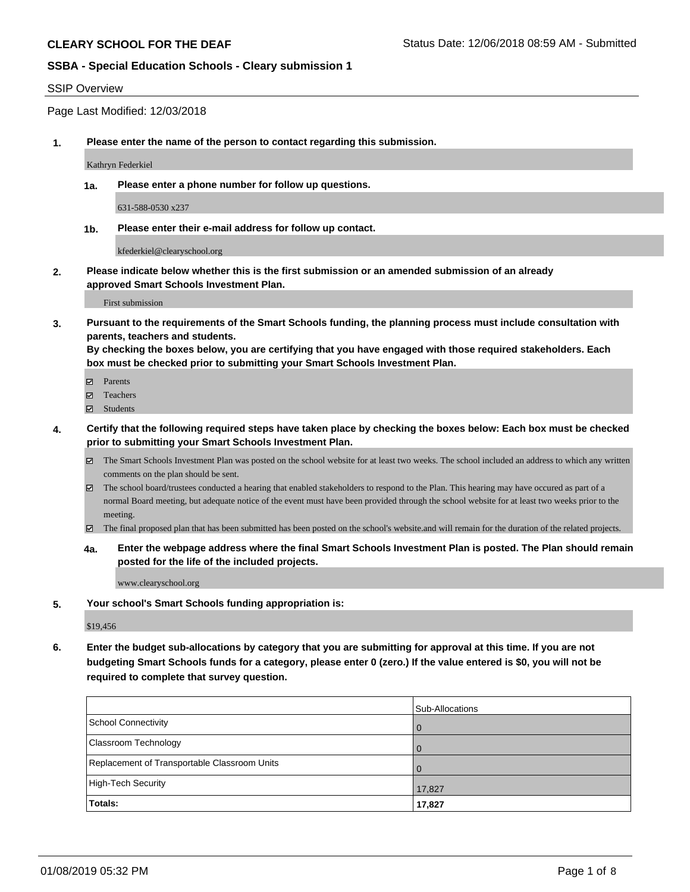#### SSIP Overview

Page Last Modified: 12/03/2018

**1. Please enter the name of the person to contact regarding this submission.**

Kathryn Federkiel

**1a. Please enter a phone number for follow up questions.**

631-588-0530 x237

**1b. Please enter their e-mail address for follow up contact.**

kfederkiel@clearyschool.org

**2. Please indicate below whether this is the first submission or an amended submission of an already approved Smart Schools Investment Plan.**

First submission

**3. Pursuant to the requirements of the Smart Schools funding, the planning process must include consultation with parents, teachers and students.**

**By checking the boxes below, you are certifying that you have engaged with those required stakeholders. Each box must be checked prior to submitting your Smart Schools Investment Plan.**

- $\blacksquare$  Parents
- Teachers
- Students
- **4. Certify that the following required steps have taken place by checking the boxes below: Each box must be checked prior to submitting your Smart Schools Investment Plan.**
	- $\boxtimes$  The Smart Schools Investment Plan was posted on the school website for at least two weeks. The school included an address to which any written comments on the plan should be sent.
	- $\boxtimes$  The school board/trustees conducted a hearing that enabled stakeholders to respond to the Plan. This hearing may have occured as part of a normal Board meeting, but adequate notice of the event must have been provided through the school website for at least two weeks prior to the meeting.
	- The final proposed plan that has been submitted has been posted on the school's website.and will remain for the duration of the related projects.
	- **4a. Enter the webpage address where the final Smart Schools Investment Plan is posted. The Plan should remain posted for the life of the included projects.**

www.clearyschool.org

**5. Your school's Smart Schools funding appropriation is:**

\$19,456

**6. Enter the budget sub-allocations by category that you are submitting for approval at this time. If you are not budgeting Smart Schools funds for a category, please enter 0 (zero.) If the value entered is \$0, you will not be required to complete that survey question.**

|                                              | Sub-Allocations |
|----------------------------------------------|-----------------|
| School Connectivity                          | l O             |
| Classroom Technology                         | $\vert$ ()      |
| Replacement of Transportable Classroom Units | $\overline{0}$  |
| High-Tech Security                           | 17,827          |
| <b>Totals:</b>                               | 17,827          |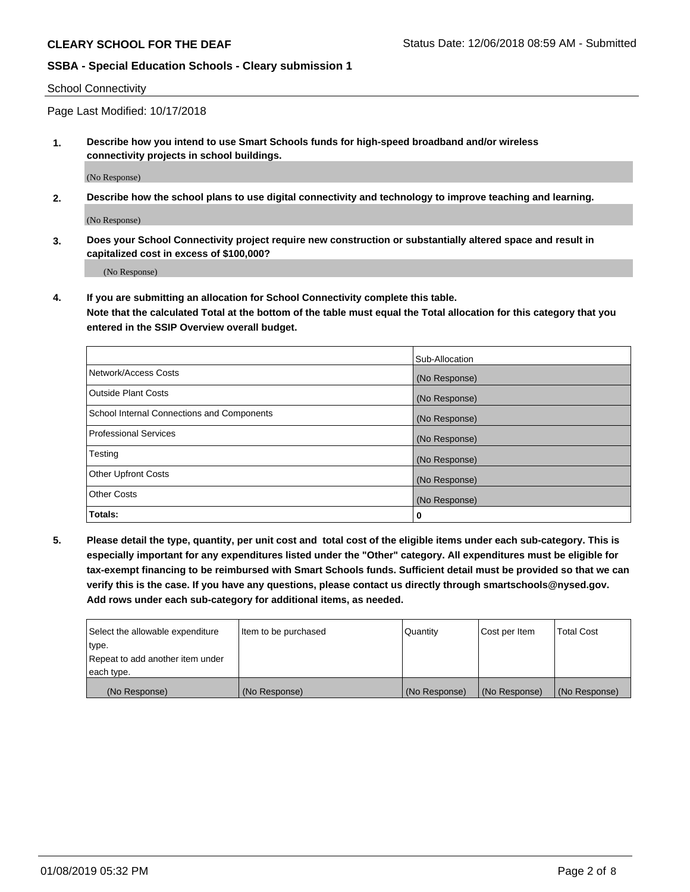School Connectivity

Page Last Modified: 10/17/2018

**1. Describe how you intend to use Smart Schools funds for high-speed broadband and/or wireless connectivity projects in school buildings.**

(No Response)

**2. Describe how the school plans to use digital connectivity and technology to improve teaching and learning.**

(No Response)

**3. Does your School Connectivity project require new construction or substantially altered space and result in capitalized cost in excess of \$100,000?**

(No Response)

**4. If you are submitting an allocation for School Connectivity complete this table.**

**Note that the calculated Total at the bottom of the table must equal the Total allocation for this category that you entered in the SSIP Overview overall budget.** 

|                                            | Sub-Allocation |
|--------------------------------------------|----------------|
| Network/Access Costs                       | (No Response)  |
| <b>Outside Plant Costs</b>                 | (No Response)  |
| School Internal Connections and Components | (No Response)  |
| <b>Professional Services</b>               | (No Response)  |
| Testing                                    | (No Response)  |
| <b>Other Upfront Costs</b>                 | (No Response)  |
| <b>Other Costs</b>                         | (No Response)  |
| Totals:                                    | 0              |

**5. Please detail the type, quantity, per unit cost and total cost of the eligible items under each sub-category. This is especially important for any expenditures listed under the "Other" category. All expenditures must be eligible for tax-exempt financing to be reimbursed with Smart Schools funds. Sufficient detail must be provided so that we can verify this is the case. If you have any questions, please contact us directly through smartschools@nysed.gov. Add rows under each sub-category for additional items, as needed.**

| Select the allowable expenditure | Item to be purchased | Quantity      | Cost per Item | <b>Total Cost</b> |
|----------------------------------|----------------------|---------------|---------------|-------------------|
| type.                            |                      |               |               |                   |
| Repeat to add another item under |                      |               |               |                   |
| each type.                       |                      |               |               |                   |
| (No Response)                    | (No Response)        | (No Response) | (No Response) | (No Response)     |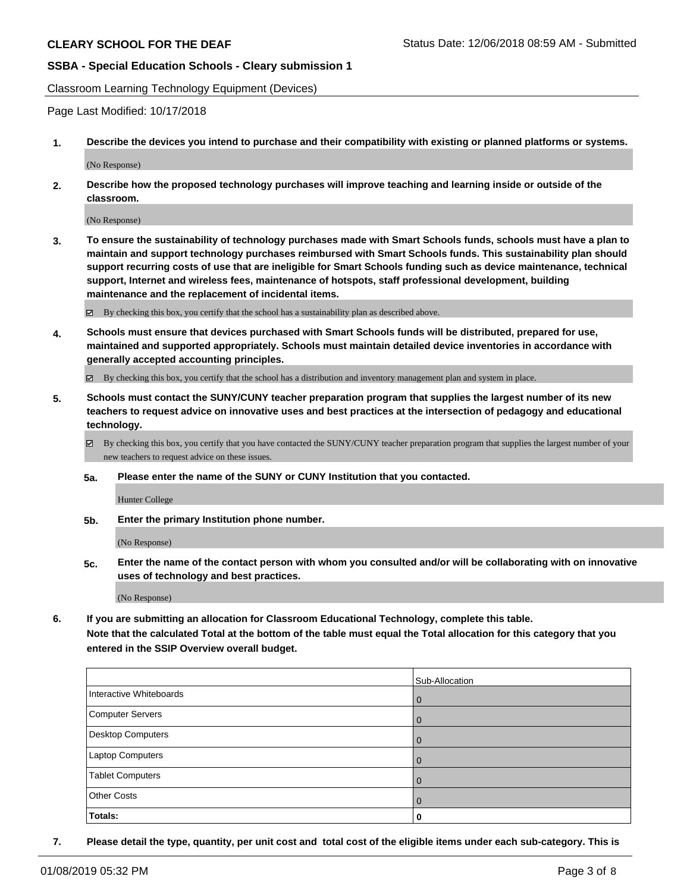Classroom Learning Technology Equipment (Devices)

Page Last Modified: 10/17/2018

**1. Describe the devices you intend to purchase and their compatibility with existing or planned platforms or systems.**

(No Response)

**2. Describe how the proposed technology purchases will improve teaching and learning inside or outside of the classroom.**

(No Response)

**3. To ensure the sustainability of technology purchases made with Smart Schools funds, schools must have a plan to maintain and support technology purchases reimbursed with Smart Schools funds. This sustainability plan should support recurring costs of use that are ineligible for Smart Schools funding such as device maintenance, technical support, Internet and wireless fees, maintenance of hotspots, staff professional development, building maintenance and the replacement of incidental items.**

By checking this box, you certify that the school has a sustainability plan as described above.

**4. Schools must ensure that devices purchased with Smart Schools funds will be distributed, prepared for use, maintained and supported appropriately. Schools must maintain detailed device inventories in accordance with generally accepted accounting principles.**

By checking this box, you certify that the school has a distribution and inventory management plan and system in place.

- **5. Schools must contact the SUNY/CUNY teacher preparation program that supplies the largest number of its new teachers to request advice on innovative uses and best practices at the intersection of pedagogy and educational technology.**
	- $\boxtimes$  By checking this box, you certify that you have contacted the SUNY/CUNY teacher preparation program that supplies the largest number of your new teachers to request advice on these issues.
	- **5a. Please enter the name of the SUNY or CUNY Institution that you contacted.**

Hunter College

**5b. Enter the primary Institution phone number.**

(No Response)

**5c. Enter the name of the contact person with whom you consulted and/or will be collaborating with on innovative uses of technology and best practices.**

(No Response)

**6. If you are submitting an allocation for Classroom Educational Technology, complete this table.**

**Note that the calculated Total at the bottom of the table must equal the Total allocation for this category that you entered in the SSIP Overview overall budget.**

|                         | Sub-Allocation |
|-------------------------|----------------|
| Interactive Whiteboards | l 0            |
| Computer Servers        | $\overline{0}$ |
| Desktop Computers       | <b>0</b>       |
| Laptop Computers        | l 0            |
| <b>Tablet Computers</b> | l 0            |
| <b>Other Costs</b>      | l 0            |
| Totals:                 | 0              |

**7. Please detail the type, quantity, per unit cost and total cost of the eligible items under each sub-category. This is**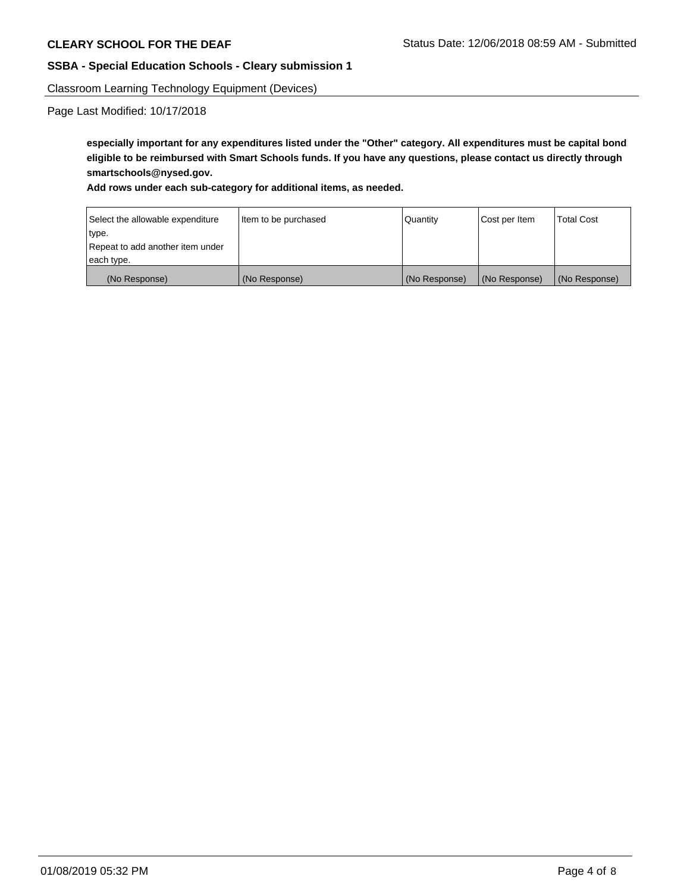Classroom Learning Technology Equipment (Devices)

Page Last Modified: 10/17/2018

**especially important for any expenditures listed under the "Other" category. All expenditures must be capital bond eligible to be reimbursed with Smart Schools funds. If you have any questions, please contact us directly through smartschools@nysed.gov.**

**Add rows under each sub-category for additional items, as needed.**

| Select the allowable expenditure | Item to be purchased | Quantity      | Cost per Item | <b>Total Cost</b> |
|----------------------------------|----------------------|---------------|---------------|-------------------|
| type.                            |                      |               |               |                   |
| Repeat to add another item under |                      |               |               |                   |
| each type.                       |                      |               |               |                   |
| (No Response)                    | (No Response)        | (No Response) | (No Response) | (No Response)     |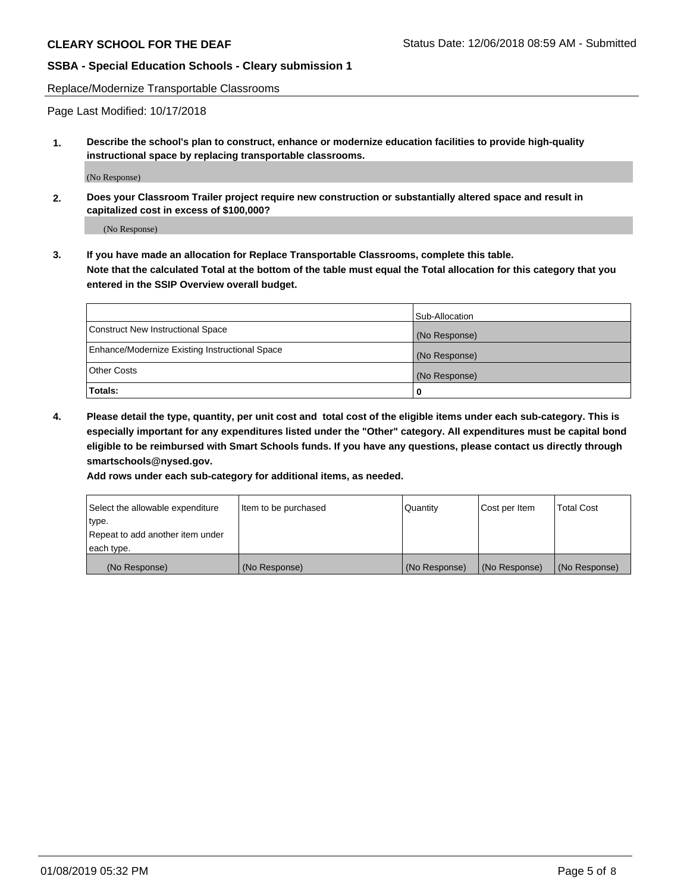Replace/Modernize Transportable Classrooms

Page Last Modified: 10/17/2018

**1. Describe the school's plan to construct, enhance or modernize education facilities to provide high-quality instructional space by replacing transportable classrooms.**

(No Response)

**2. Does your Classroom Trailer project require new construction or substantially altered space and result in capitalized cost in excess of \$100,000?**

(No Response)

**3. If you have made an allocation for Replace Transportable Classrooms, complete this table. Note that the calculated Total at the bottom of the table must equal the Total allocation for this category that you entered in the SSIP Overview overall budget.**

|                                                | Sub-Allocation |
|------------------------------------------------|----------------|
| Construct New Instructional Space              | (No Response)  |
| Enhance/Modernize Existing Instructional Space | (No Response)  |
| Other Costs                                    | (No Response)  |
| Totals:                                        | 0              |

**4. Please detail the type, quantity, per unit cost and total cost of the eligible items under each sub-category. This is especially important for any expenditures listed under the "Other" category. All expenditures must be capital bond eligible to be reimbursed with Smart Schools funds. If you have any questions, please contact us directly through smartschools@nysed.gov.**

**Add rows under each sub-category for additional items, as needed.**

| Select the allowable expenditure | Item to be purchased | Quantity      | Cost per Item | <b>Total Cost</b> |
|----------------------------------|----------------------|---------------|---------------|-------------------|
| type.                            |                      |               |               |                   |
| Repeat to add another item under |                      |               |               |                   |
| each type.                       |                      |               |               |                   |
| (No Response)                    | (No Response)        | (No Response) | (No Response) | (No Response)     |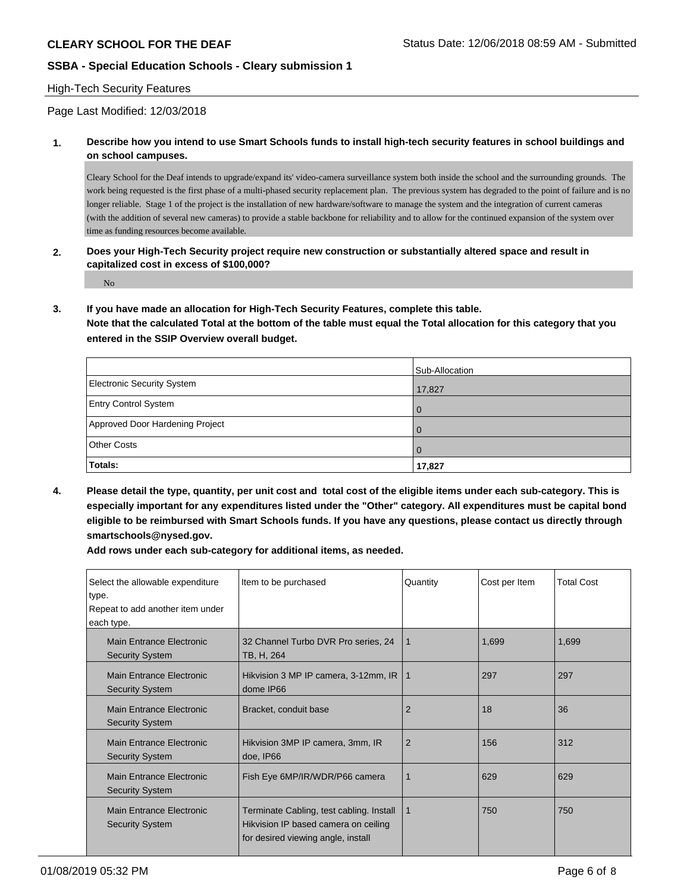### High-Tech Security Features

Page Last Modified: 12/03/2018

**1. Describe how you intend to use Smart Schools funds to install high-tech security features in school buildings and on school campuses.**

Cleary School for the Deaf intends to upgrade/expand its' video-camera surveillance system both inside the school and the surrounding grounds. The work being requested is the first phase of a multi-phased security replacement plan. The previous system has degraded to the point of failure and is no longer reliable. Stage 1 of the project is the installation of new hardware/software to manage the system and the integration of current cameras (with the addition of several new cameras) to provide a stable backbone for reliability and to allow for the continued expansion of the system over time as funding resources become available.

**2. Does your High-Tech Security project require new construction or substantially altered space and result in capitalized cost in excess of \$100,000?**

No

**3. If you have made an allocation for High-Tech Security Features, complete this table.**

**Note that the calculated Total at the bottom of the table must equal the Total allocation for this category that you entered in the SSIP Overview overall budget.**

|                                 | Sub-Allocation |
|---------------------------------|----------------|
| Electronic Security System      | 17,827         |
| <b>Entry Control System</b>     | $\Omega$       |
| Approved Door Hardening Project | $\Omega$       |
| <b>Other Costs</b>              | $\Omega$       |
| Totals:                         | 17,827         |

**4. Please detail the type, quantity, per unit cost and total cost of the eligible items under each sub-category. This is especially important for any expenditures listed under the "Other" category. All expenditures must be capital bond eligible to be reimbursed with Smart Schools funds. If you have any questions, please contact us directly through smartschools@nysed.gov.**

**Add rows under each sub-category for additional items, as needed.**

| Select the allowable expenditure<br>type.<br>Repeat to add another item under<br>each type. | Item to be purchased                                                                                                   | Quantity       | Cost per Item | <b>Total Cost</b> |
|---------------------------------------------------------------------------------------------|------------------------------------------------------------------------------------------------------------------------|----------------|---------------|-------------------|
| Main Entrance Electronic<br><b>Security System</b>                                          | 32 Channel Turbo DVR Pro series, 24<br>TB, H, 264                                                                      | 1              | 1,699         | 1,699             |
| Main Entrance Electronic<br><b>Security System</b>                                          | Hikvision 3 MP IP camera, 3-12mm, IR<br>dome IP66                                                                      | 1              | 297           | 297               |
| Main Entrance Electronic<br><b>Security System</b>                                          | Bracket, conduit base                                                                                                  | 2              | 18            | 36                |
| Main Entrance Electronic<br><b>Security System</b>                                          | Hikvision 3MP IP camera, 3mm, IR<br>doe, IP66                                                                          | $\overline{2}$ | 156           | 312               |
| Main Entrance Electronic<br><b>Security System</b>                                          | Fish Eye 6MP/IR/WDR/P66 camera                                                                                         | 1              | 629           | 629               |
| Main Entrance Electronic<br><b>Security System</b>                                          | Terminate Cabling, test cabling. Install<br>Hikvision IP based camera on ceiling<br>for desired viewing angle, install | 1              | 750           | 750               |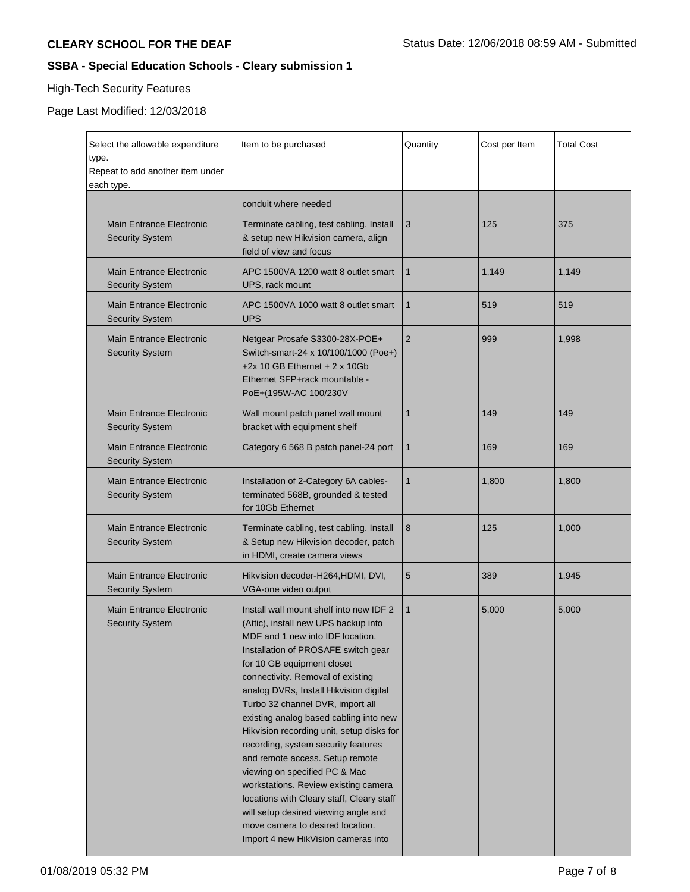# High-Tech Security Features

# Page Last Modified: 12/03/2018

| Select the allowable expenditure<br>type.<br>Repeat to add another item under<br>each type. | Item to be purchased                                                                                                                                                                                                                                                                                                                                                                                                                                                                                                                                                                                                                                                                                                  | Quantity       | Cost per Item | <b>Total Cost</b> |
|---------------------------------------------------------------------------------------------|-----------------------------------------------------------------------------------------------------------------------------------------------------------------------------------------------------------------------------------------------------------------------------------------------------------------------------------------------------------------------------------------------------------------------------------------------------------------------------------------------------------------------------------------------------------------------------------------------------------------------------------------------------------------------------------------------------------------------|----------------|---------------|-------------------|
|                                                                                             | conduit where needed                                                                                                                                                                                                                                                                                                                                                                                                                                                                                                                                                                                                                                                                                                  |                |               |                   |
| <b>Main Entrance Electronic</b><br><b>Security System</b>                                   | Terminate cabling, test cabling. Install<br>& setup new Hikvision camera, align<br>field of view and focus                                                                                                                                                                                                                                                                                                                                                                                                                                                                                                                                                                                                            | 3              | 125           | 375               |
| <b>Main Entrance Electronic</b><br><b>Security System</b>                                   | APC 1500VA 1200 watt 8 outlet smart<br>UPS, rack mount                                                                                                                                                                                                                                                                                                                                                                                                                                                                                                                                                                                                                                                                | 1              | 1,149         | 1,149             |
| <b>Main Entrance Electronic</b><br><b>Security System</b>                                   | APC 1500VA 1000 watt 8 outlet smart<br><b>UPS</b>                                                                                                                                                                                                                                                                                                                                                                                                                                                                                                                                                                                                                                                                     | 1              | 519           | 519               |
| <b>Main Entrance Electronic</b><br><b>Security System</b>                                   | Netgear Prosafe S3300-28X-POE+<br>Switch-smart-24 x 10/100/1000 (Poe+)<br>+2x 10 GB Ethernet + $2 \times 10$ Gb<br>Ethernet SFP+rack mountable -<br>PoE+(195W-AC 100/230V                                                                                                                                                                                                                                                                                                                                                                                                                                                                                                                                             | $\overline{2}$ | 999           | 1,998             |
| <b>Main Entrance Electronic</b><br><b>Security System</b>                                   | Wall mount patch panel wall mount<br>bracket with equipment shelf                                                                                                                                                                                                                                                                                                                                                                                                                                                                                                                                                                                                                                                     | 1              | 149           | 149               |
| <b>Main Entrance Electronic</b><br><b>Security System</b>                                   | Category 6 568 B patch panel-24 port                                                                                                                                                                                                                                                                                                                                                                                                                                                                                                                                                                                                                                                                                  | 1              | 169           | 169               |
| <b>Main Entrance Electronic</b><br><b>Security System</b>                                   | Installation of 2-Category 6A cables-<br>terminated 568B, grounded & tested<br>for 10Gb Ethernet                                                                                                                                                                                                                                                                                                                                                                                                                                                                                                                                                                                                                      | $\mathbf{1}$   | 1,800         | 1,800             |
| <b>Main Entrance Electronic</b><br><b>Security System</b>                                   | Terminate cabling, test cabling. Install<br>& Setup new Hikvision decoder, patch<br>in HDMI, create camera views                                                                                                                                                                                                                                                                                                                                                                                                                                                                                                                                                                                                      | 8              | 125           | 1,000             |
| <b>Main Entrance Electronic</b><br><b>Security System</b>                                   | Hikvision decoder-H264, HDMI, DVI,<br>VGA-one video output                                                                                                                                                                                                                                                                                                                                                                                                                                                                                                                                                                                                                                                            | 5              | 389           | 1,945             |
| <b>Main Entrance Electronic</b><br><b>Security System</b>                                   | Install wall mount shelf into new IDF 2<br>(Attic), install new UPS backup into<br>MDF and 1 new into IDF location.<br>Installation of PROSAFE switch gear<br>for 10 GB equipment closet<br>connectivity. Removal of existing<br>analog DVRs, Install Hikvision digital<br>Turbo 32 channel DVR, import all<br>existing analog based cabling into new<br>Hikvision recording unit, setup disks for<br>recording, system security features<br>and remote access. Setup remote<br>viewing on specified PC & Mac<br>workstations. Review existing camera<br>locations with Cleary staff, Cleary staff<br>will setup desired viewing angle and<br>move camera to desired location.<br>Import 4 new HikVision cameras into | $\mathbf{1}$   | 5,000         | 5,000             |